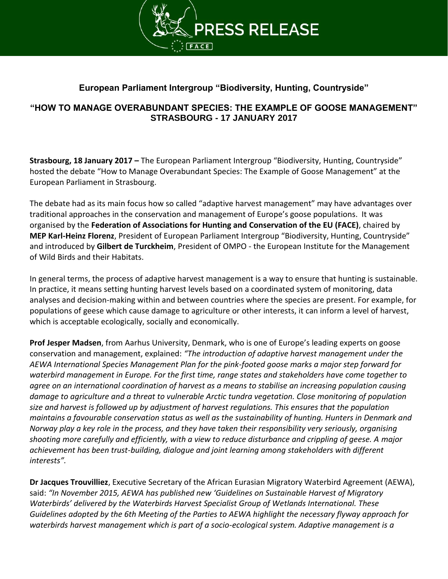

## **European Parliament Intergroup "Biodiversity, Hunting, Countryside"**

## **"HOW TO MANAGE OVERABUNDANT SPECIES: THE EXAMPLE OF GOOSE MANAGEMENT" STRASBOURG - 17 JANUARY 2017**

**Strasbourg, 18 January 2017 –** The European Parliament Intergroup "Biodiversity, Hunting, Countryside" hosted the debate "How to Manage Overabundant Species: The Example of Goose Management" at the European Parliament in Strasbourg.

The debate had as its main focus how so called "adaptive harvest management" may have advantages over traditional approaches in the conservation and management of Europe's goose populations. It was organised by the **Federation of Associations for Hunting and Conservation of the EU (FACE)**, chaired by **MEP Karl-Heinz Florenz**, President of European Parliament Intergroup "Biodiversity, Hunting, Countryside" and introduced by **Gilbert de Turckheim**, President of OMPO - the European Institute for the Management of Wild Birds and their Habitats.

In general terms, the process of adaptive harvest management is a way to ensure that hunting is sustainable. In practice, it means setting hunting harvest levels based on a coordinated system of monitoring, data analyses and decision-making within and between countries where the species are present. For example, for populations of geese which cause damage to agriculture or other interests, it can inform a level of harvest, which is acceptable ecologically, socially and economically.

**Prof Jesper Madsen**, from Aarhus University, Denmark, who is one of Europe's leading experts on goose conservation and management, explained: *"The introduction of adaptive harvest management under the AEWA International Species Management Plan for the pink-footed goose marks a major step forward for waterbird management in Europe. For the first time, range states and stakeholders have come together to agree on an international coordination of harvest as a means to stabilise an increasing population causing damage to agriculture and a threat to vulnerable Arctic tundra vegetation. Close monitoring of population size and harvest is followed up by adjustment of harvest regulations. This ensures that the population maintains a favourable conservation status as well as the sustainability of hunting. Hunters in Denmark and Norway play a key role in the process, and they have taken their responsibility very seriously, organising shooting more carefully and efficiently, with a view to reduce disturbance and crippling of geese. A major achievement has been trust-building, dialogue and joint learning among stakeholders with different interests".*

**Dr Jacques Trouvilliez**, Executive Secretary of the African Eurasian Migratory Waterbird Agreement (AEWA), said: *"In November 2015, AEWA has published new 'Guidelines on Sustainable Harvest of Migratory Waterbirds' delivered by the Waterbirds Harvest Specialist Group of Wetlands International. These Guidelines adopted by the 6th Meeting of the Parties to AEWA highlight the necessary flyway approach for waterbirds harvest management which is part of a socio-ecological system. Adaptive management is a*